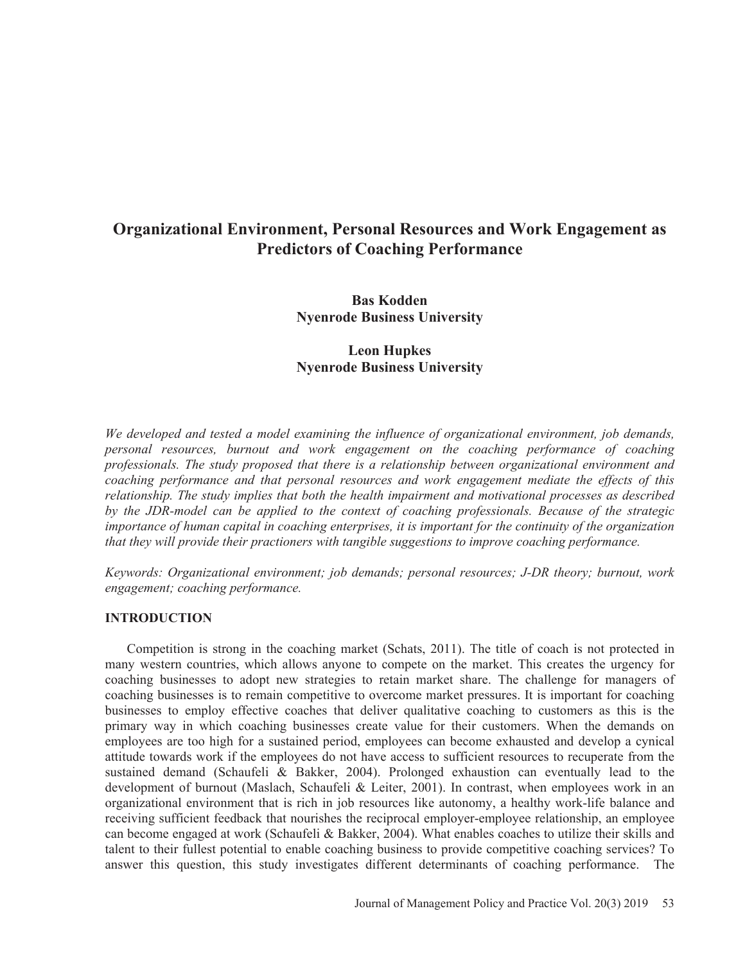# **Organizational Environment, Personal Resources and Work Engagement as Predictors of Coaching Performance**

**Bas Kodden Nyenrode Business University** 

## **Leon Hupkes Nyenrode Business University**

*We developed and tested a model examining the influence of organizational environment, job demands, personal resources, burnout and work engagement on the coaching performance of coaching professionals. The study proposed that there is a relationship between organizational environment and coaching performance and that personal resources and work engagement mediate the effects of this relationship. The study implies that both the health impairment and motivational processes as described by the JDR-model can be applied to the context of coaching professionals. Because of the strategic importance of human capital in coaching enterprises, it is important for the continuity of the organization that they will provide their practioners with tangible suggestions to improve coaching performance.* 

*Keywords: Organizational environment; job demands; personal resources; J-DR theory; burnout, work engagement; coaching performance.* 

## **INTRODUCTION**

Competition is strong in the coaching market (Schats, 2011). The title of coach is not protected in many western countries, which allows anyone to compete on the market. This creates the urgency for coaching businesses to adopt new strategies to retain market share. The challenge for managers of coaching businesses is to remain competitive to overcome market pressures. It is important for coaching businesses to employ effective coaches that deliver qualitative coaching to customers as this is the primary way in which coaching businesses create value for their customers. When the demands on employees are too high for a sustained period, employees can become exhausted and develop a cynical attitude towards work if the employees do not have access to sufficient resources to recuperate from the sustained demand (Schaufeli & Bakker, 2004). Prolonged exhaustion can eventually lead to the development of burnout (Maslach, Schaufeli & Leiter, 2001). In contrast, when employees work in an organizational environment that is rich in job resources like autonomy, a healthy work-life balance and receiving sufficient feedback that nourishes the reciprocal employer-employee relationship, an employee can become engaged at work (Schaufeli & Bakker, 2004). What enables coaches to utilize their skills and talent to their fullest potential to enable coaching business to provide competitive coaching services? To answer this question, this study investigates different determinants of coaching performance. The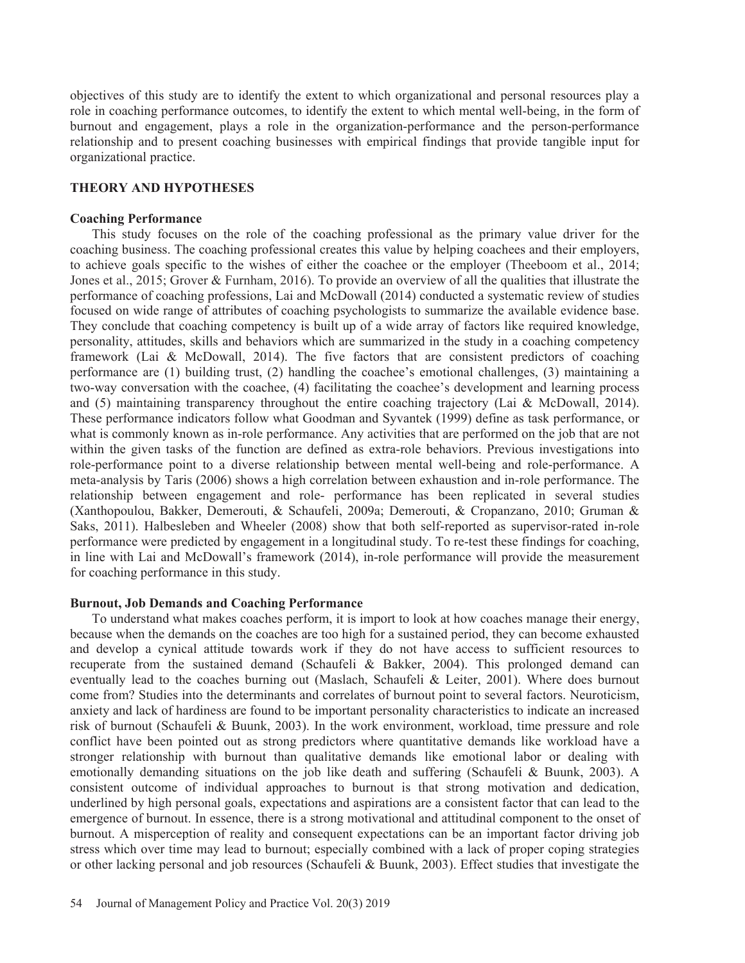objectives of this study are to identify the extent to which organizational and personal resources play a role in coaching performance outcomes, to identify the extent to which mental well-being, in the form of burnout and engagement, plays a role in the organization-performance and the person-performance relationship and to present coaching businesses with empirical findings that provide tangible input for organizational practice.

## **THEORY AND HYPOTHESES**

### **Coaching Performance**

This study focuses on the role of the coaching professional as the primary value driver for the coaching business. The coaching professional creates this value by helping coachees and their employers, to achieve goals specific to the wishes of either the coachee or the employer (Theeboom et al., 2014; Jones et al., 2015; Grover & Furnham, 2016). To provide an overview of all the qualities that illustrate the performance of coaching professions, Lai and McDowall (2014) conducted a systematic review of studies focused on wide range of attributes of coaching psychologists to summarize the available evidence base. They conclude that coaching competency is built up of a wide array of factors like required knowledge, personality, attitudes, skills and behaviors which are summarized in the study in a coaching competency framework (Lai & McDowall, 2014). The five factors that are consistent predictors of coaching performance are (1) building trust, (2) handling the coachee's emotional challenges, (3) maintaining a two-way conversation with the coachee, (4) facilitating the coachee's development and learning process and (5) maintaining transparency throughout the entire coaching trajectory (Lai & McDowall, 2014). These performance indicators follow what Goodman and Syvantek (1999) define as task performance, or what is commonly known as in-role performance. Any activities that are performed on the job that are not within the given tasks of the function are defined as extra-role behaviors. Previous investigations into role-performance point to a diverse relationship between mental well-being and role-performance. A meta-analysis by Taris (2006) shows a high correlation between exhaustion and in-role performance. The relationship between engagement and role- performance has been replicated in several studies (Xanthopoulou, Bakker, Demerouti, & Schaufeli, 2009a; Demerouti, & Cropanzano, 2010; Gruman & Saks, 2011). Halbesleben and Wheeler (2008) show that both self-reported as supervisor-rated in-role performance were predicted by engagement in a longitudinal study. To re-test these findings for coaching, in line with Lai and McDowall's framework (2014), in-role performance will provide the measurement for coaching performance in this study.

## **Burnout, Job Demands and Coaching Performance**

To understand what makes coaches perform, it is import to look at how coaches manage their energy, because when the demands on the coaches are too high for a sustained period, they can become exhausted and develop a cynical attitude towards work if they do not have access to sufficient resources to recuperate from the sustained demand (Schaufeli & Bakker, 2004). This prolonged demand can eventually lead to the coaches burning out (Maslach, Schaufeli & Leiter, 2001). Where does burnout come from? Studies into the determinants and correlates of burnout point to several factors. Neuroticism, anxiety and lack of hardiness are found to be important personality characteristics to indicate an increased risk of burnout (Schaufeli & Buunk, 2003). In the work environment, workload, time pressure and role conflict have been pointed out as strong predictors where quantitative demands like workload have a stronger relationship with burnout than qualitative demands like emotional labor or dealing with emotionally demanding situations on the job like death and suffering (Schaufeli & Buunk, 2003). A consistent outcome of individual approaches to burnout is that strong motivation and dedication, underlined by high personal goals, expectations and aspirations are a consistent factor that can lead to the emergence of burnout. In essence, there is a strong motivational and attitudinal component to the onset of burnout. A misperception of reality and consequent expectations can be an important factor driving job stress which over time may lead to burnout; especially combined with a lack of proper coping strategies or other lacking personal and job resources (Schaufeli & Buunk, 2003). Effect studies that investigate the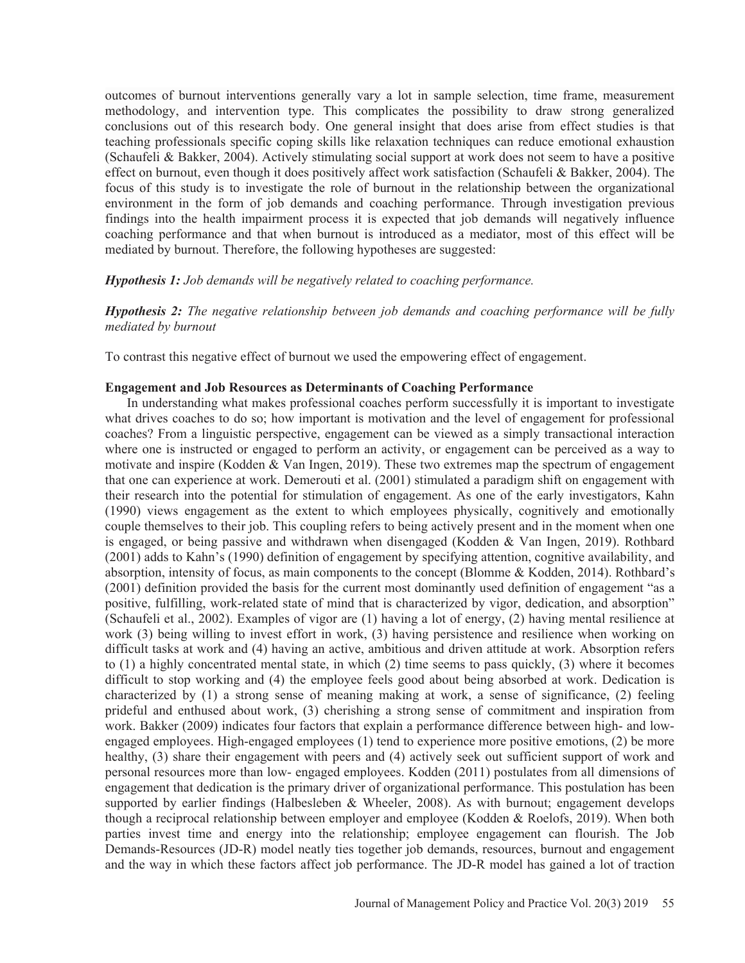outcomes of burnout interventions generally vary a lot in sample selection, time frame, measurement methodology, and intervention type. This complicates the possibility to draw strong generalized conclusions out of this research body. One general insight that does arise from effect studies is that teaching professionals specific coping skills like relaxation techniques can reduce emotional exhaustion (Schaufeli & Bakker, 2004). Actively stimulating social support at work does not seem to have a positive effect on burnout, even though it does positively affect work satisfaction (Schaufeli & Bakker, 2004). The focus of this study is to investigate the role of burnout in the relationship between the organizational environment in the form of job demands and coaching performance. Through investigation previous findings into the health impairment process it is expected that job demands will negatively influence coaching performance and that when burnout is introduced as a mediator, most of this effect will be mediated by burnout. Therefore, the following hypotheses are suggested:

## *Hypothesis 1: Job demands will be negatively related to coaching performance.*

*Hypothesis 2: The negative relationship between job demands and coaching performance will be fully mediated by burnout* 

To contrast this negative effect of burnout we used the empowering effect of engagement.

## **Engagement and Job Resources as Determinants of Coaching Performance**

In understanding what makes professional coaches perform successfully it is important to investigate what drives coaches to do so; how important is motivation and the level of engagement for professional coaches? From a linguistic perspective, engagement can be viewed as a simply transactional interaction where one is instructed or engaged to perform an activity, or engagement can be perceived as a way to motivate and inspire (Kodden & Van Ingen, 2019). These two extremes map the spectrum of engagement that one can experience at work. Demerouti et al. (2001) stimulated a paradigm shift on engagement with their research into the potential for stimulation of engagement. As one of the early investigators, Kahn (1990) views engagement as the extent to which employees physically, cognitively and emotionally couple themselves to their job. This coupling refers to being actively present and in the moment when one is engaged, or being passive and withdrawn when disengaged (Kodden & Van Ingen, 2019). Rothbard (2001) adds to Kahn's (1990) definition of engagement by specifying attention, cognitive availability, and absorption, intensity of focus, as main components to the concept (Blomme & Kodden, 2014). Rothbard's (2001) definition provided the basis for the current most dominantly used definition of engagement "as a positive, fulfilling, work-related state of mind that is characterized by vigor, dedication, and absorption" (Schaufeli et al., 2002). Examples of vigor are (1) having a lot of energy, (2) having mental resilience at work (3) being willing to invest effort in work, (3) having persistence and resilience when working on difficult tasks at work and (4) having an active, ambitious and driven attitude at work. Absorption refers to (1) a highly concentrated mental state, in which (2) time seems to pass quickly, (3) where it becomes difficult to stop working and (4) the employee feels good about being absorbed at work. Dedication is characterized by (1) a strong sense of meaning making at work, a sense of significance, (2) feeling prideful and enthused about work, (3) cherishing a strong sense of commitment and inspiration from work. Bakker (2009) indicates four factors that explain a performance difference between high- and lowengaged employees. High-engaged employees (1) tend to experience more positive emotions, (2) be more healthy, (3) share their engagement with peers and (4) actively seek out sufficient support of work and personal resources more than low- engaged employees. Kodden (2011) postulates from all dimensions of engagement that dedication is the primary driver of organizational performance. This postulation has been supported by earlier findings (Halbesleben & Wheeler, 2008). As with burnout; engagement develops though a reciprocal relationship between employer and employee (Kodden & Roelofs, 2019). When both parties invest time and energy into the relationship; employee engagement can flourish. The Job Demands-Resources (JD-R) model neatly ties together job demands, resources, burnout and engagement and the way in which these factors affect job performance. The JD-R model has gained a lot of traction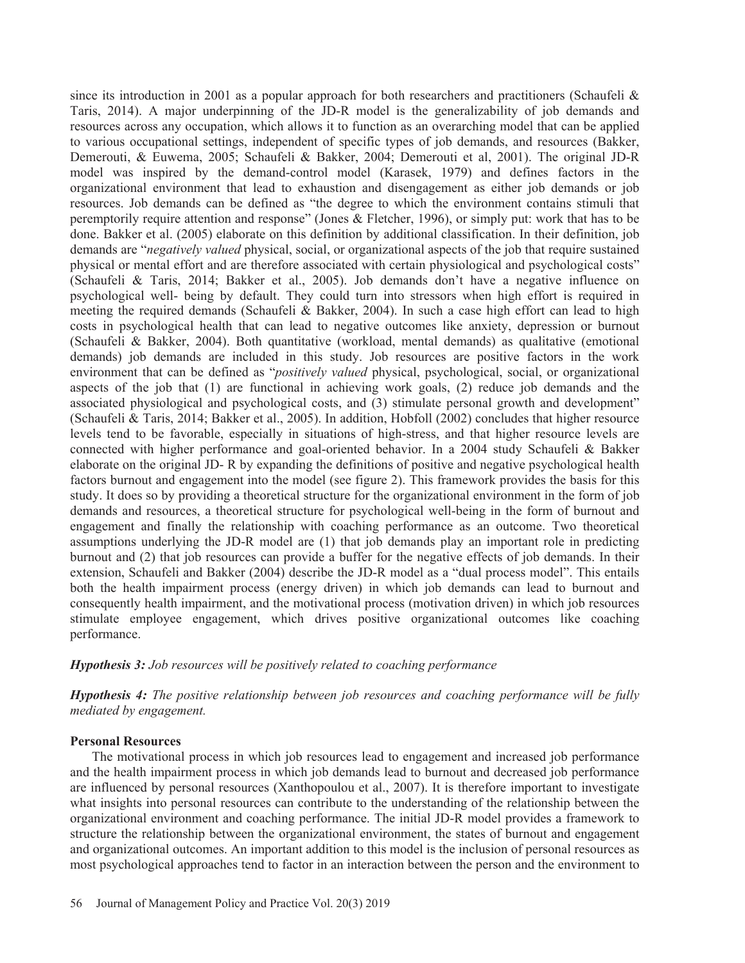since its introduction in 2001 as a popular approach for both researchers and practitioners (Schaufeli  $\&$ Taris, 2014). A major underpinning of the JD-R model is the generalizability of job demands and resources across any occupation, which allows it to function as an overarching model that can be applied to various occupational settings, independent of specific types of job demands, and resources (Bakker, Demerouti, & Euwema, 2005; Schaufeli & Bakker, 2004; Demerouti et al, 2001). The original JD-R model was inspired by the demand-control model (Karasek, 1979) and defines factors in the organizational environment that lead to exhaustion and disengagement as either job demands or job resources. Job demands can be defined as "the degree to which the environment contains stimuli that peremptorily require attention and response" (Jones & Fletcher, 1996), or simply put: work that has to be done. Bakker et al. (2005) elaborate on this definition by additional classification. In their definition, job demands are "*negatively valued* physical, social, or organizational aspects of the job that require sustained physical or mental effort and are therefore associated with certain physiological and psychological costs" (Schaufeli & Taris, 2014; Bakker et al., 2005). Job demands don't have a negative influence on psychological well- being by default. They could turn into stressors when high effort is required in meeting the required demands (Schaufeli & Bakker, 2004). In such a case high effort can lead to high costs in psychological health that can lead to negative outcomes like anxiety, depression or burnout (Schaufeli & Bakker, 2004). Both quantitative (workload, mental demands) as qualitative (emotional demands) job demands are included in this study. Job resources are positive factors in the work environment that can be defined as "*positively valued* physical, psychological, social, or organizational aspects of the job that (1) are functional in achieving work goals, (2) reduce job demands and the associated physiological and psychological costs, and (3) stimulate personal growth and development" (Schaufeli & Taris, 2014; Bakker et al., 2005). In addition, Hobfoll (2002) concludes that higher resource levels tend to be favorable, especially in situations of high-stress, and that higher resource levels are connected with higher performance and goal-oriented behavior. In a 2004 study Schaufeli & Bakker elaborate on the original JD- R by expanding the definitions of positive and negative psychological health factors burnout and engagement into the model (see figure 2). This framework provides the basis for this study. It does so by providing a theoretical structure for the organizational environment in the form of job demands and resources, a theoretical structure for psychological well-being in the form of burnout and engagement and finally the relationship with coaching performance as an outcome. Two theoretical assumptions underlying the JD-R model are (1) that job demands play an important role in predicting burnout and (2) that job resources can provide a buffer for the negative effects of job demands. In their extension, Schaufeli and Bakker (2004) describe the JD-R model as a "dual process model". This entails both the health impairment process (energy driven) in which job demands can lead to burnout and consequently health impairment, and the motivational process (motivation driven) in which job resources stimulate employee engagement, which drives positive organizational outcomes like coaching performance.

## *Hypothesis 3: Job resources will be positively related to coaching performance*

*Hypothesis 4: The positive relationship between job resources and coaching performance will be fully mediated by engagement.* 

## **Personal Resources**

The motivational process in which job resources lead to engagement and increased job performance and the health impairment process in which job demands lead to burnout and decreased job performance are influenced by personal resources (Xanthopoulou et al., 2007). It is therefore important to investigate what insights into personal resources can contribute to the understanding of the relationship between the organizational environment and coaching performance. The initial JD-R model provides a framework to structure the relationship between the organizational environment, the states of burnout and engagement and organizational outcomes. An important addition to this model is the inclusion of personal resources as most psychological approaches tend to factor in an interaction between the person and the environment to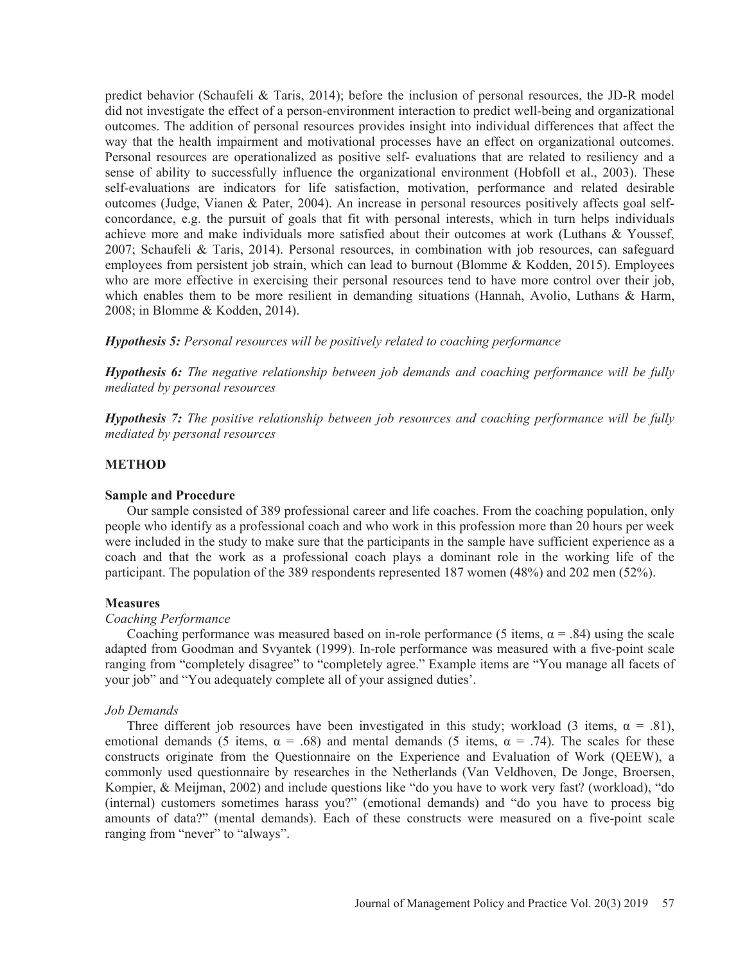predict behavior (Schaufeli & Taris, 2014); before the inclusion of personal resources, the JD-R model did not investigate the effect of a person-environment interaction to predict well-being and organizational outcomes. The addition of personal resources provides insight into individual differences that affect the way that the health impairment and motivational processes have an effect on organizational outcomes. Personal resources are operationalized as positive self- evaluations that are related to resiliency and a sense of ability to successfully influence the organizational environment (Hobfoll et al., 2003). These self-evaluations are indicators for life satisfaction, motivation, performance and related desirable outcomes (Judge, Vianen & Pater, 2004). An increase in personal resources positively affects goal selfconcordance, e.g. the pursuit of goals that fit with personal interests, which in turn helps individuals achieve more and make individuals more satisfied about their outcomes at work (Luthans & Youssef, 2007; Schaufeli & Taris, 2014). Personal resources, in combination with job resources, can safeguard employees from persistent job strain, which can lead to burnout (Blomme & Kodden, 2015). Employees who are more effective in exercising their personal resources tend to have more control over their job, which enables them to be more resilient in demanding situations (Hannah, Avolio, Luthans & Harm, 2008; in Blomme & Kodden, 2014).

*Hypothesis 5: Personal resources will be positively related to coaching performance* 

*Hypothesis 6: The negative relationship between job demands and coaching performance will be fully mediated by personal resources* 

*Hypothesis 7: The positive relationship between job resources and coaching performance will be fully mediated by personal resources* 

## **METHOD**

## **Sample and Procedure**

Our sample consisted of 389 professional career and life coaches. From the coaching population, only people who identify as a professional coach and who work in this profession more than 20 hours per week were included in the study to make sure that the participants in the sample have sufficient experience as a coach and that the work as a professional coach plays a dominant role in the working life of the participant. The population of the 389 respondents represented 187 women (48%) and 202 men (52%).

## **Measures**

## *Coaching Performance*

Coaching performance was measured based on in-role performance (5 items,  $\alpha = .84$ ) using the scale adapted from Goodman and Svyantek (1999). In-role performance was measured with a five-point scale ranging from "completely disagree" to "completely agree." Example items are "You manage all facets of your job" and "You adequately complete all of your assigned duties'.

## *Job Demands*

Three different job resources have been investigated in this study; workload (3 items,  $\alpha = .81$ ), emotional demands (5 items,  $\alpha = .68$ ) and mental demands (5 items,  $\alpha = .74$ ). The scales for these constructs originate from the Questionnaire on the Experience and Evaluation of Work (QEEW), a commonly used questionnaire by researches in the Netherlands (Van Veldhoven, De Jonge, Broersen, Kompier, & Meijman, 2002) and include questions like "do you have to work very fast? (workload), "do (internal) customers sometimes harass you?" (emotional demands) and "do you have to process big amounts of data?" (mental demands). Each of these constructs were measured on a five-point scale ranging from "never" to "always".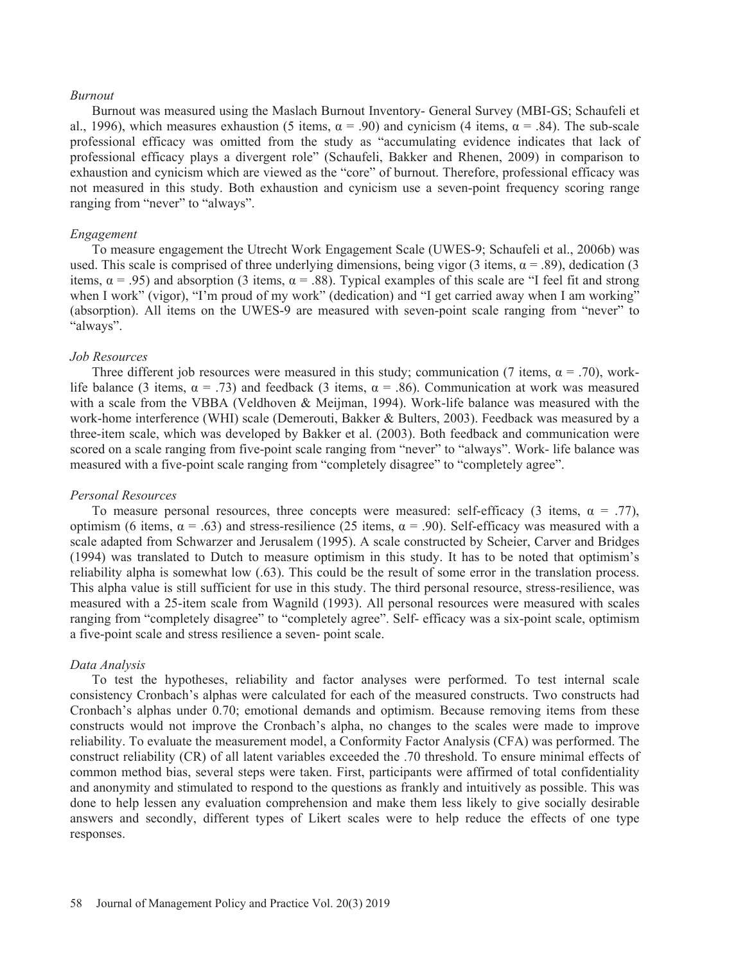#### *Burnout*

Burnout was measured using the Maslach Burnout Inventory- General Survey (MBI-GS; Schaufeli et al., 1996), which measures exhaustion (5 items,  $\alpha = .90$ ) and cynicism (4 items,  $\alpha = .84$ ). The sub-scale professional efficacy was omitted from the study as "accumulating evidence indicates that lack of professional efficacy plays a divergent role" (Schaufeli, Bakker and Rhenen, 2009) in comparison to exhaustion and cynicism which are viewed as the "core" of burnout. Therefore, professional efficacy was not measured in this study. Both exhaustion and cynicism use a seven-point frequency scoring range ranging from "never" to "always".

#### *Engagement*

To measure engagement the Utrecht Work Engagement Scale (UWES-9; Schaufeli et al., 2006b) was used. This scale is comprised of three underlying dimensions, being vigor (3 items,  $\alpha = .89$ ), dedication (3 items,  $\alpha = .95$ ) and absorption (3 items,  $\alpha = .88$ ). Typical examples of this scale are "I feel fit and strong when I work" (vigor), "I'm proud of my work" (dedication) and "I get carried away when I am working" (absorption). All items on the UWES-9 are measured with seven-point scale ranging from "never" to "always".

#### *Job Resources*

Three different job resources were measured in this study; communication (7 items,  $\alpha = .70$ ), worklife balance (3 items,  $\alpha = .73$ ) and feedback (3 items,  $\alpha = .86$ ). Communication at work was measured with a scale from the VBBA (Veldhoven & Meijman, 1994). Work-life balance was measured with the work-home interference (WHI) scale (Demerouti, Bakker & Bulters, 2003). Feedback was measured by a three-item scale, which was developed by Bakker et al. (2003). Both feedback and communication were scored on a scale ranging from five-point scale ranging from "never" to "always". Work- life balance was measured with a five-point scale ranging from "completely disagree" to "completely agree".

#### *Personal Resources*

To measure personal resources, three concepts were measured: self-efficacy (3 items,  $\alpha = .77$ ), optimism (6 items,  $\alpha = .63$ ) and stress-resilience (25 items,  $\alpha = .90$ ). Self-efficacy was measured with a scale adapted from Schwarzer and Jerusalem (1995). A scale constructed by Scheier, Carver and Bridges (1994) was translated to Dutch to measure optimism in this study. It has to be noted that optimism's reliability alpha is somewhat low (.63). This could be the result of some error in the translation process. This alpha value is still sufficient for use in this study. The third personal resource, stress-resilience, was measured with a 25-item scale from Wagnild (1993). All personal resources were measured with scales ranging from "completely disagree" to "completely agree". Self- efficacy was a six-point scale, optimism a five-point scale and stress resilience a seven- point scale.

#### *Data Analysis*

To test the hypotheses, reliability and factor analyses were performed. To test internal scale consistency Cronbach's alphas were calculated for each of the measured constructs. Two constructs had Cronbach's alphas under 0.70; emotional demands and optimism. Because removing items from these constructs would not improve the Cronbach's alpha, no changes to the scales were made to improve reliability. To evaluate the measurement model, a Conformity Factor Analysis (CFA) was performed. The construct reliability (CR) of all latent variables exceeded the .70 threshold. To ensure minimal effects of common method bias, several steps were taken. First, participants were affirmed of total confidentiality and anonymity and stimulated to respond to the questions as frankly and intuitively as possible. This was done to help lessen any evaluation comprehension and make them less likely to give socially desirable answers and secondly, different types of Likert scales were to help reduce the effects of one type responses.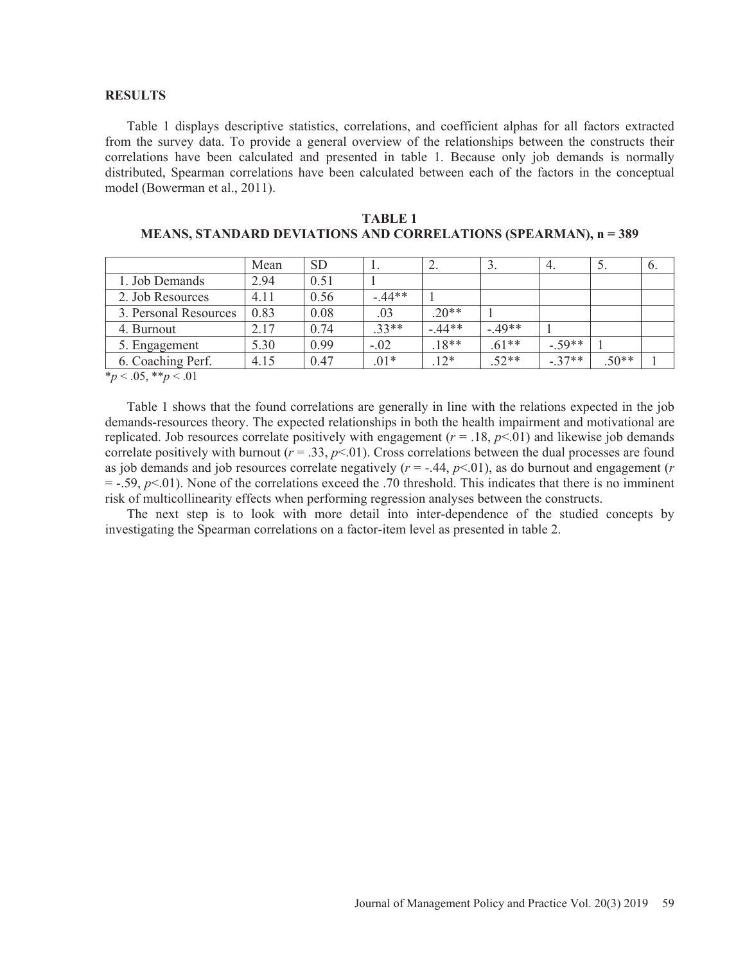#### **RESULTS**

Table 1 displays descriptive statistics, correlations, and coefficient alphas for all factors extracted from the survey data. To provide a general overview of the relationships between the constructs their correlations have been calculated and presented in table 1. Because only job demands is normally distributed, Spearman correlations have been calculated between each of the factors in the conceptual model (Bowerman et al., 2011).

|                       | Mean | <b>SD</b> |         | ∸.      | . ر     | 4.       |         | $\mathbf{0}$ . |
|-----------------------|------|-----------|---------|---------|---------|----------|---------|----------------|
| 1. Job Demands        | 2.94 | 0.51      |         |         |         |          |         |                |
| 2. Job Resources      | 4.11 | 0.56      | $-44**$ |         |         |          |         |                |
| 3. Personal Resources | 0.83 | 0.08      | .03     | $20**$  |         |          |         |                |
| 4. Burnout            | 2.17 | 0.74      | $.33**$ | $-44**$ | $-49**$ |          |         |                |
| 5. Engagement         | 5.30 | 0.99      | $-.02$  | $18**$  | $.61**$ | $-.59**$ |         |                |
| 6. Coaching Perf.     | 4.15 | 0.47      | $.01*$  | $12*$   | $.52**$ | $-.37**$ | $.50**$ |                |
| $*_{n}$ / 05 *** / 01 |      |           |         |         |         |          |         |                |

| TABLE 1                                                                |  |
|------------------------------------------------------------------------|--|
| <b>MEANS, STANDARD DEVIATIONS AND CORRELATIONS (SPEARMAN), n = 389</b> |  |

\**p* < .05, \*\**p* < .01

Table 1 shows that the found correlations are generally in line with the relations expected in the job demands-resources theory. The expected relationships in both the health impairment and motivational are replicated. Job resources correlate positively with engagement  $(r = .18, p < .01)$  and likewise job demands correlate positively with burnout ( $r = .33$ ,  $p < .01$ ). Cross correlations between the dual processes are found as job demands and job resources correlate negatively  $(r = -.44, p < .01)$ , as do burnout and engagement  $(r = .44, p < .01)$  $=$  -.59,  $p$ <.01). None of the correlations exceed the .70 threshold. This indicates that there is no imminent risk of multicollinearity effects when performing regression analyses between the constructs.

The next step is to look with more detail into inter-dependence of the studied concepts by investigating the Spearman correlations on a factor-item level as presented in table 2.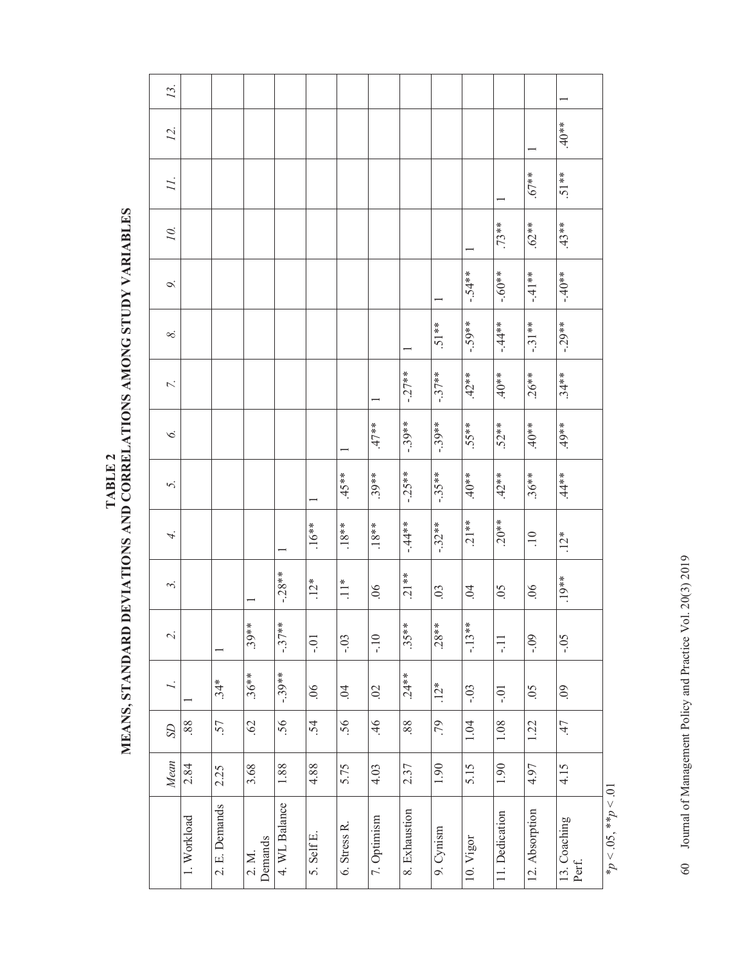| 13.                       |             |               |                         |               |                |                     |                      |               |                |                |                |                   |                       |
|---------------------------|-------------|---------------|-------------------------|---------------|----------------|---------------------|----------------------|---------------|----------------|----------------|----------------|-------------------|-----------------------|
| 12.                       |             |               |                         |               |                |                     |                      |               |                |                |                |                   | $40**$                |
| 11.                       |             |               |                         |               |                |                     |                      |               |                |                |                | $67**$            | 51**                  |
| 10.                       |             |               |                         |               |                |                     |                      |               |                |                | $.73***$       | $.62**$           | $43**$                |
| Ò.                        |             |               |                         |               |                |                     |                      |               |                | $-.54**$       | $-.60**$       | $-4*1$            | $-40**$               |
| $\infty$                  |             |               |                         |               |                |                     |                      |               | $.51**$        | $-59**$        | $-44**$        | $-31**$           | $-29**$               |
| 7.                        |             |               |                         |               |                |                     |                      | $-.27**$      | $-37**$        | $.42***$       | $40**$         | $.26***$          | $.34**$               |
| $\circ$                   |             |               |                         |               |                |                     | $**L.$               | $-.39**$      | $-39**$        | $.55**$        | $.52***$       | $40**$            | $**6t$                |
| 5.                        |             |               |                         |               |                | $45***$             | $.39**$              | $-.25**$      | $-35***$       | $**0*$         | $.42**$        | $.36***$          | $*$                   |
| 4.                        |             |               |                         |               | $.16***$       | $.18**$             | $.18**$              | $-44**$       | $-32**$        | $.21**$        | $.20**$        | $\overline{10}$   | $.12*$                |
| $\widetilde{\phantom{m}}$ |             |               |                         | $-28**$       | $12*$          | $\sum_{n=1}^{n}$    | $\overline{0}$       | $.21**$       | $\overline{0}$ | $\overline{0}$ | 0 <sub>5</sub> | 06                | $.19**$               |
| $\overline{\gamma}$       |             |               | $.39**$                 | $-.37***$     | $-0.1$         | $-0.3$              | $-10$                | $.35**$       | $.28**$        | $-13**$        | Ę              | $-0.9$            | $-0.5$                |
|                           |             | $.34*$        | $.36**$                 | $-39**$       | $\overline{0}$ | $\ddot{\mathrm{S}}$ | $\ddot{\mathcal{O}}$ | $.24**$       | $.12*$         | $-0.03$        | $-0.1$         | $\overline{50}$ . | $\overline{60}$       |
| $\Omega$                  | 88.         | .57           | $\ddot{\mathcal{O}}$    | 56            | .54            | 56                  | 46                   | 88            | 61             | 1.04           | $1.08\,$       | 1.22              | 47                    |
| Mean                      | 2.84        | 2.25          | 3.68                    | 1.88          | 4.88           | 5.75                | 4.03                 | 2.37          | 1.90           | 5.15           | 1.90           | 4.97              | 4.15                  |
|                           | 1. Workload | 2. E. Demands | Demands<br>$2 \times M$ | 4. WL Balance | 5. Self E.     | 6. Stress R.        | 7. Optimism          | 8. Exhaustion | 9. Cynism      | 10. Vigor      | 11. Dedication | 12. Absorption    | 13. Coaching<br>Perf. |

TABLE 2 NEANS, STANDARD DEVIATIONS AND CORRELATIONS AMONG STUDY VARIABLES **MEANS, STANDARD DEVIATIONS AND CORRELATIONS AMONG STUDY VARIABLES TABLE 2** 

> $*_{p}$  < .05,  $*_{p}$  < .01 \**p* < .05, \*\**p* < .01

60 Journal of Management Policy and Practice Vol. 20(3) 2019 60 Journal of Management Policy and Practice Vol. 20(3) 2019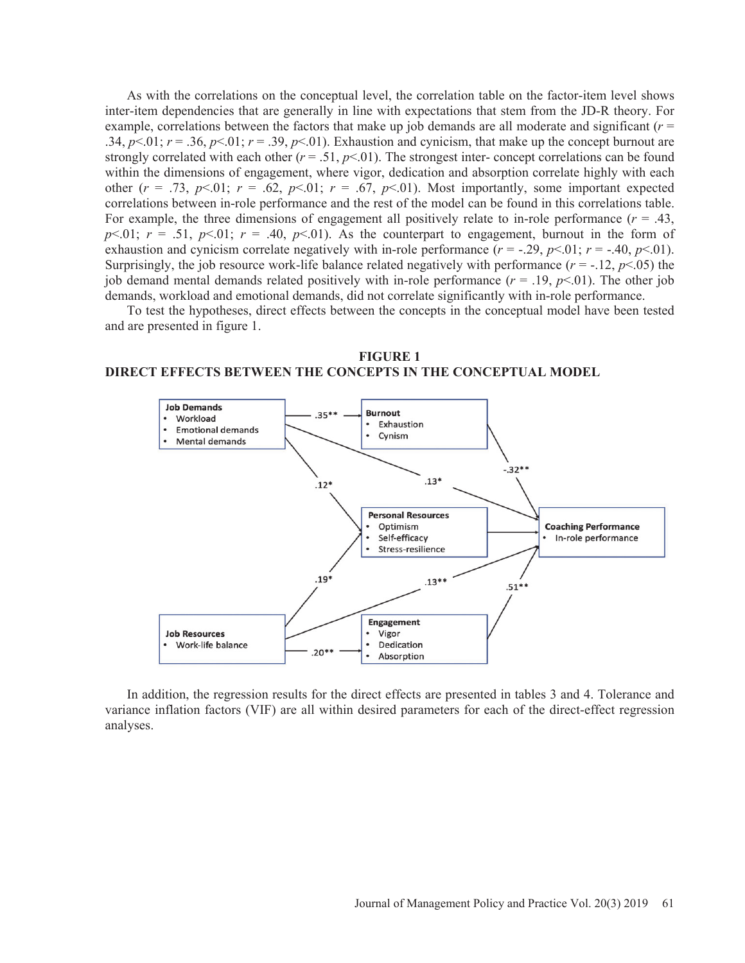As with the correlations on the conceptual level, the correlation table on the factor-item level shows inter-item dependencies that are generally in line with expectations that stem from the JD-R theory. For example, correlations between the factors that make up job demands are all moderate and significant (*r* = .34,  $p<.01$ ;  $r = .36$ ,  $p<.01$ ;  $r = .39$ ,  $p<.01$ ). Exhaustion and cynicism, that make up the concept burnout are strongly correlated with each other  $(r = .51, p < .01)$ . The strongest inter- concept correlations can be found within the dimensions of engagement, where vigor, dedication and absorption correlate highly with each other  $(r = .73, p<.01; r = .62, p<.01; r = .67, p<.01$ ). Most importantly, some important expected correlations between in-role performance and the rest of the model can be found in this correlations table. For example, the three dimensions of engagement all positively relate to in-role performance  $(r = .43)$ ,  $p<01$ ;  $r = .51$ ,  $p<01$ ;  $r = .40$ ,  $p<01$ ). As the counterpart to engagement, burnout in the form of exhaustion and cynicism correlate negatively with in-role performance  $(r = -0.29, p < 0.01; r = -0.40, p < 0.01)$ . Surprisingly, the job resource work-life balance related negatively with performance  $(r = -12, p < 05)$  the job demand mental demands related positively with in-role performance  $(r = .19, p < .01)$ . The other job demands, workload and emotional demands, did not correlate significantly with in-role performance.

To test the hypotheses, direct effects between the concepts in the conceptual model have been tested and are presented in figure 1.

**FIGURE 1 DIRECT EFFECTS BETWEEN THE CONCEPTS IN THE CONCEPTUAL MODEL**



In addition, the regression results for the direct effects are presented in tables 3 and 4. Tolerance and variance inflation factors (VIF) are all within desired parameters for each of the direct-effect regression analyses.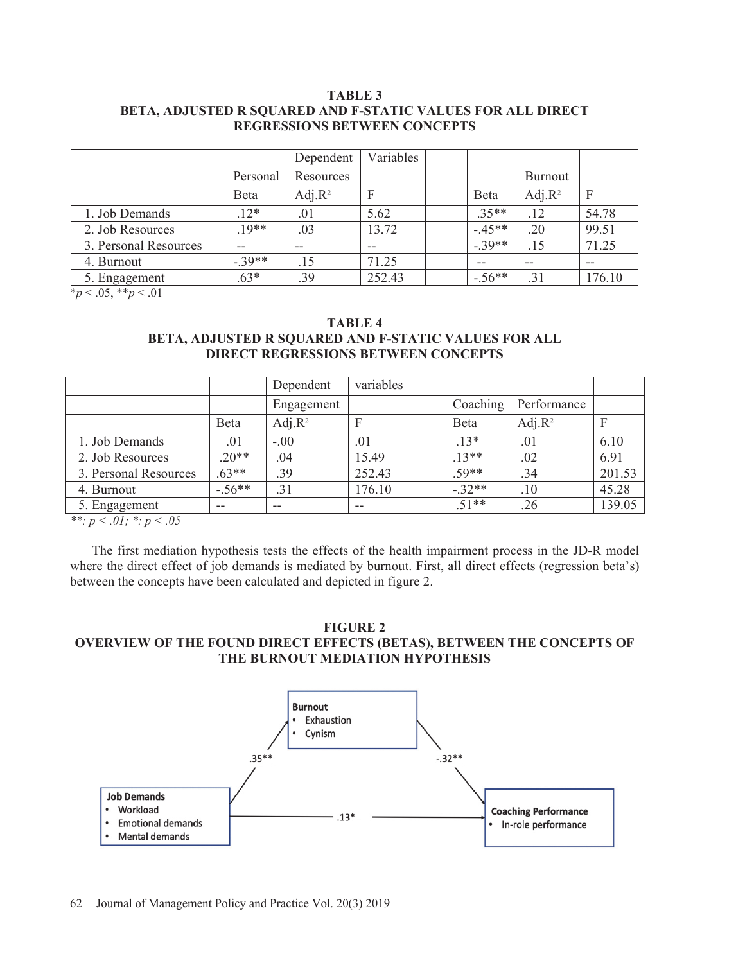## **TABLE 3 BETA, ADJUSTED R SQUARED AND F-STATIC VALUES FOR ALL DIRECT REGRESSIONS BETWEEN CONCEPTS**

|                       |          | Dependent  | Variables |          |            |                  |
|-----------------------|----------|------------|-----------|----------|------------|------------------|
|                       | Personal | Resources  |           |          | Burnout    |                  |
|                       | Beta     | Adj. $R^2$ | F         | Beta     | Adj. $R^2$ | $\boldsymbol{F}$ |
| 1. Job Demands        | $12*$    | .01        | 5.62      | $.35**$  | .12        | 54.78            |
| 2. Job Resources      | $19**$   | .03        | 13.72     | $-45**$  | .20        | 99.51            |
| 3. Personal Resources | $-$      | $- -$      | $- -$     | $-39**$  | .15        | 71.25            |
| 4. Burnout            | $-39**$  | .15        | 71.25     | $- -$    | $- -$      | $- -$            |
| 5. Engagement         | $.63*$   | .39        | 252.43    | $-.56**$ | .31        | 176.10           |

\**p* < .05, \*\**p* < .01

**TABLE 4** 

# **BETA, ADJUSTED R SQUARED AND F-STATIC VALUES FOR ALL DIRECT REGRESSIONS BETWEEN CONCEPTS**

|                       |          | Dependent  | variables |              |             |        |
|-----------------------|----------|------------|-----------|--------------|-------------|--------|
|                       |          | Engagement |           | Coaching     | Performance |        |
|                       | Beta     | Adj. $R^2$ | F         | <b>B</b> eta | Adj. $R^2$  | F      |
| 1. Job Demands        | .01      | $-.00$     | .01       | $.13*$       | .01         | 6.10   |
| 2. Job Resources      | $20**$   | .04        | 15.49     | $.13**$      | .02         | 6.91   |
| 3. Personal Resources | $.63**$  | .39        | 252.43    | $.59**$      | .34         | 201.53 |
| 4. Burnout            | $-.56**$ | .31        | 176.10    | $-.32**$     | .10         | 45.28  |
| 5. Engagement         | $- -$    | $-$        | $- -$     | $.51**$      | .26         | 139.05 |

*\*\*: p < .01; \*: p < .05* 

The first mediation hypothesis tests the effects of the health impairment process in the JD-R model where the direct effect of job demands is mediated by burnout. First, all direct effects (regression beta's) between the concepts have been calculated and depicted in figure 2.

## **FIGURE 2**

## **OVERVIEW OF THE FOUND DIRECT EFFECTS (BETAS), BETWEEN THE CONCEPTS OF THE BURNOUT MEDIATION HYPOTHESIS**

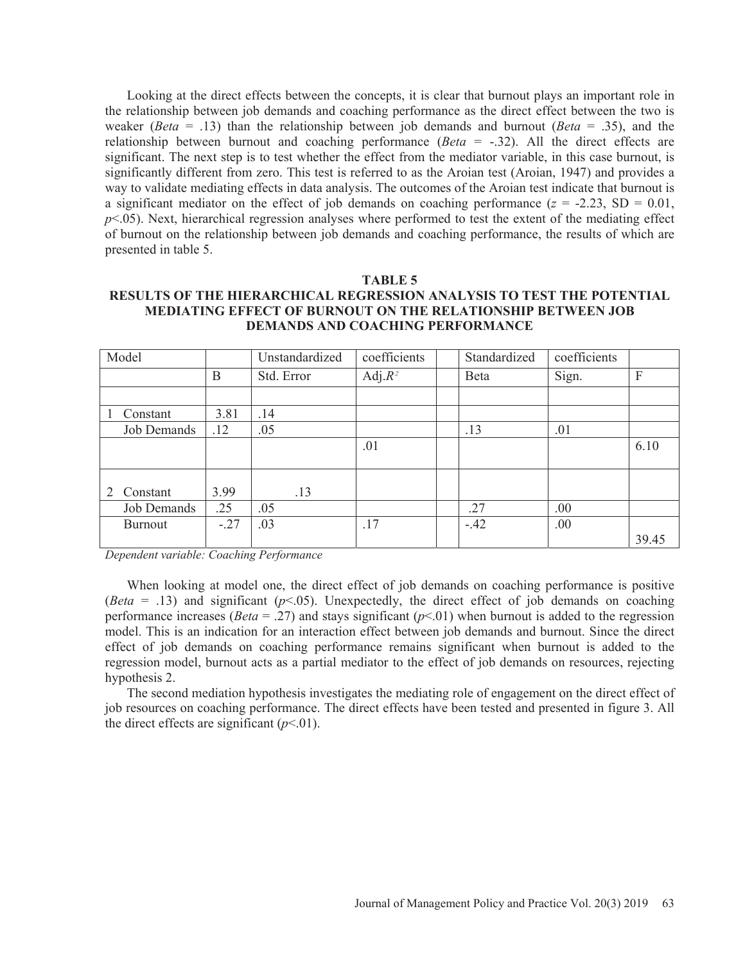Looking at the direct effects between the concepts, it is clear that burnout plays an important role in the relationship between job demands and coaching performance as the direct effect between the two is weaker (*Beta* = .13) than the relationship between job demands and burnout (*Beta* = .35), and the relationship between burnout and coaching performance (*Beta* = -.32). All the direct effects are significant. The next step is to test whether the effect from the mediator variable, in this case burnout, is significantly different from zero. This test is referred to as the Aroian test (Aroian, 1947) and provides a way to validate mediating effects in data analysis. The outcomes of the Aroian test indicate that burnout is a significant mediator on the effect of job demands on coaching performance  $(z = -2.23, SD = 0.01,$  $p$ <.05). Next, hierarchical regression analyses where performed to test the extent of the mediating effect of burnout on the relationship between job demands and coaching performance, the results of which are presented in table 5.

#### **TABLE 5**

## **RESULTS OF THE HIERARCHICAL REGRESSION ANALYSIS TO TEST THE POTENTIAL MEDIATING EFFECT OF BURNOUT ON THE RELATIONSHIP BETWEEN JOB DEMANDS AND COACHING PERFORMANCE**

| Model          |        | Unstandardized | coefficients | Standardized | coefficients |       |
|----------------|--------|----------------|--------------|--------------|--------------|-------|
|                | B      | Std. Error     | Adj. $R^2$   | Beta         | Sign.        | F     |
|                |        |                |              |              |              |       |
| Constant       | 3.81   | .14            |              |              |              |       |
| Job Demands    | .12    | .05            |              | .13          | .01          |       |
|                |        |                | .01          |              |              | 6.10  |
|                |        |                |              |              |              |       |
| Constant<br>2  | 3.99   | .13            |              |              |              |       |
| Job Demands    | .25    | .05            |              | .27          | .00          |       |
| <b>Burnout</b> | $-.27$ | .03            | .17          | $-.42$       | .00          |       |
|                |        |                |              |              |              | 39.45 |

*Dependent variable: Coaching Performance* 

When looking at model one, the direct effect of job demands on coaching performance is positive (*Beta* = .13) and significant ( $p$ <.05). Unexpectedly, the direct effect of job demands on coaching performance increases (*Beta* = .27) and stays significant ( $p$ <.01) when burnout is added to the regression model. This is an indication for an interaction effect between job demands and burnout. Since the direct effect of job demands on coaching performance remains significant when burnout is added to the regression model, burnout acts as a partial mediator to the effect of job demands on resources, rejecting hypothesis 2.

The second mediation hypothesis investigates the mediating role of engagement on the direct effect of job resources on coaching performance. The direct effects have been tested and presented in figure 3. All the direct effects are significant  $(p<0.01)$ .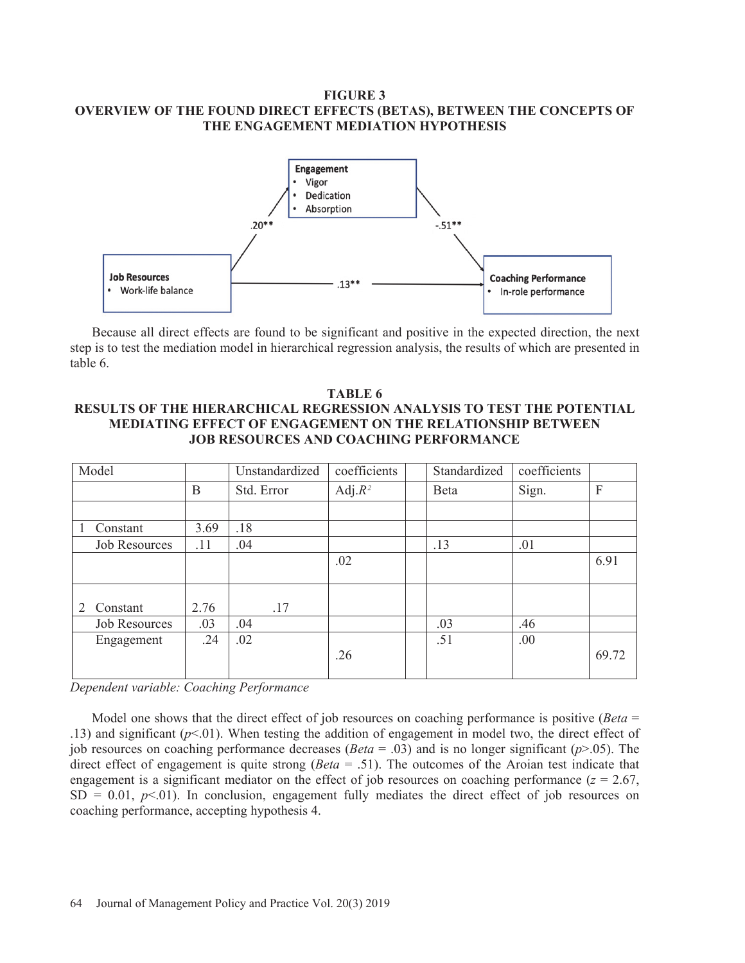## **FIGURE 3 OVERVIEW OF THE FOUND DIRECT EFFECTS (BETAS), BETWEEN THE CONCEPTS OF THE ENGAGEMENT MEDIATION HYPOTHESIS**



Because all direct effects are found to be significant and positive in the expected direction, the next step is to test the mediation model in hierarchical regression analysis, the results of which are presented in table 6.

## **TABLE 6 RESULTS OF THE HIERARCHICAL REGRESSION ANALYSIS TO TEST THE POTENTIAL MEDIATING EFFECT OF ENGAGEMENT ON THE RELATIONSHIP BETWEEN JOB RESOURCES AND COACHING PERFORMANCE**

| Model                |      | Unstandardized | coefficients | Standardized | coefficients |       |
|----------------------|------|----------------|--------------|--------------|--------------|-------|
|                      | B    | Std. Error     | Adj. $R^2$   | Beta         | Sign.        | F     |
|                      |      |                |              |              |              |       |
| Constant             | 3.69 | .18            |              |              |              |       |
| <b>Job Resources</b> | .11  | .04            |              | .13          | .01          |       |
|                      |      |                | .02          |              |              | 6.91  |
|                      |      |                |              |              |              |       |
|                      |      |                |              |              |              |       |
| Constant<br>2        | 2.76 | .17            |              |              |              |       |
| <b>Job Resources</b> | .03  | .04            |              | .03          | .46          |       |
| Engagement           | .24  | .02            |              | .51          | .00          |       |
|                      |      |                | .26          |              |              | 69.72 |
|                      |      |                |              |              |              |       |

*Dependent variable: Coaching Performance* 

Model one shows that the direct effect of job resources on coaching performance is positive (*Beta* = .13) and significant (*p*<.01). When testing the addition of engagement in model two, the direct effect of job resources on coaching performance decreases (*Beta* = .03) and is no longer significant (*p*>.05). The direct effect of engagement is quite strong (*Beta* = .51). The outcomes of the Aroian test indicate that engagement is a significant mediator on the effect of job resources on coaching performance  $(z = 2.67)$ ,  $SD = 0.01$ ,  $p<0.01$ ). In conclusion, engagement fully mediates the direct effect of job resources on coaching performance, accepting hypothesis 4.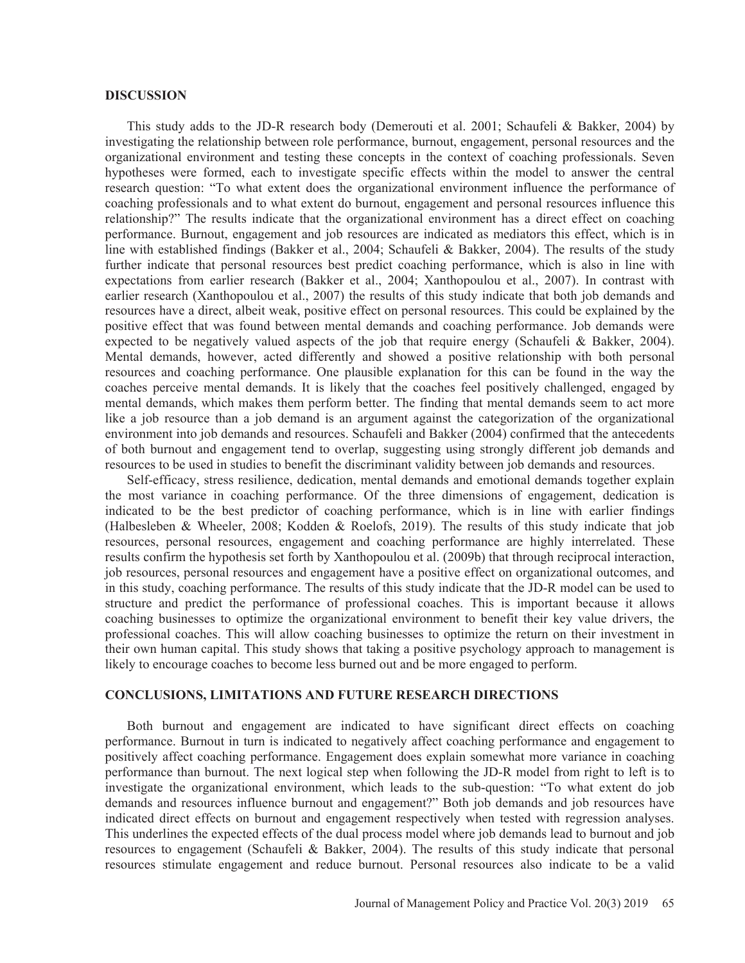#### **DISCUSSION**

This study adds to the JD-R research body (Demerouti et al. 2001; Schaufeli & Bakker, 2004) by investigating the relationship between role performance, burnout, engagement, personal resources and the organizational environment and testing these concepts in the context of coaching professionals. Seven hypotheses were formed, each to investigate specific effects within the model to answer the central research question: "To what extent does the organizational environment influence the performance of coaching professionals and to what extent do burnout, engagement and personal resources influence this relationship?" The results indicate that the organizational environment has a direct effect on coaching performance. Burnout, engagement and job resources are indicated as mediators this effect, which is in line with established findings (Bakker et al., 2004; Schaufeli & Bakker, 2004). The results of the study further indicate that personal resources best predict coaching performance, which is also in line with expectations from earlier research (Bakker et al., 2004; Xanthopoulou et al., 2007). In contrast with earlier research (Xanthopoulou et al., 2007) the results of this study indicate that both job demands and resources have a direct, albeit weak, positive effect on personal resources. This could be explained by the positive effect that was found between mental demands and coaching performance. Job demands were expected to be negatively valued aspects of the job that require energy (Schaufeli & Bakker, 2004). Mental demands, however, acted differently and showed a positive relationship with both personal resources and coaching performance. One plausible explanation for this can be found in the way the coaches perceive mental demands. It is likely that the coaches feel positively challenged, engaged by mental demands, which makes them perform better. The finding that mental demands seem to act more like a job resource than a job demand is an argument against the categorization of the organizational environment into job demands and resources. Schaufeli and Bakker (2004) confirmed that the antecedents of both burnout and engagement tend to overlap, suggesting using strongly different job demands and resources to be used in studies to benefit the discriminant validity between job demands and resources.

Self-efficacy, stress resilience, dedication, mental demands and emotional demands together explain the most variance in coaching performance. Of the three dimensions of engagement, dedication is indicated to be the best predictor of coaching performance, which is in line with earlier findings (Halbesleben & Wheeler, 2008; Kodden & Roelofs, 2019). The results of this study indicate that job resources, personal resources, engagement and coaching performance are highly interrelated. These results confirm the hypothesis set forth by Xanthopoulou et al. (2009b) that through reciprocal interaction, job resources, personal resources and engagement have a positive effect on organizational outcomes, and in this study, coaching performance. The results of this study indicate that the JD-R model can be used to structure and predict the performance of professional coaches. This is important because it allows coaching businesses to optimize the organizational environment to benefit their key value drivers, the professional coaches. This will allow coaching businesses to optimize the return on their investment in their own human capital. This study shows that taking a positive psychology approach to management is likely to encourage coaches to become less burned out and be more engaged to perform.

## **CONCLUSIONS, LIMITATIONS AND FUTURE RESEARCH DIRECTIONS**

Both burnout and engagement are indicated to have significant direct effects on coaching performance. Burnout in turn is indicated to negatively affect coaching performance and engagement to positively affect coaching performance. Engagement does explain somewhat more variance in coaching performance than burnout. The next logical step when following the JD-R model from right to left is to investigate the organizational environment, which leads to the sub-question: "To what extent do job demands and resources influence burnout and engagement?" Both job demands and job resources have indicated direct effects on burnout and engagement respectively when tested with regression analyses. This underlines the expected effects of the dual process model where job demands lead to burnout and job resources to engagement (Schaufeli & Bakker, 2004). The results of this study indicate that personal resources stimulate engagement and reduce burnout. Personal resources also indicate to be a valid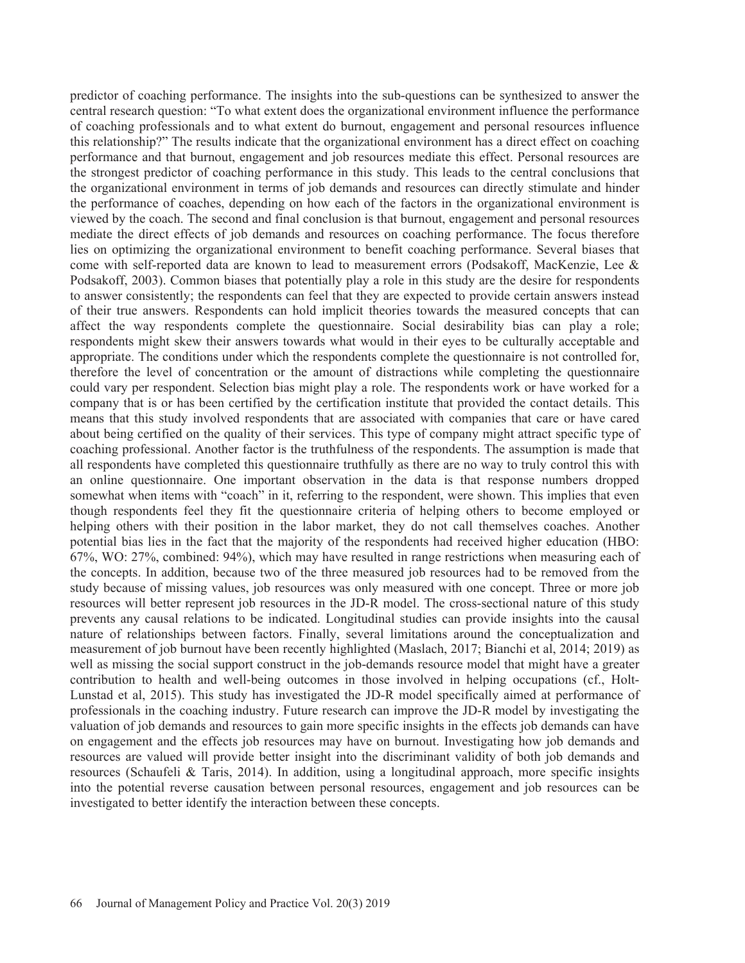predictor of coaching performance. The insights into the sub-questions can be synthesized to answer the central research question: "To what extent does the organizational environment influence the performance of coaching professionals and to what extent do burnout, engagement and personal resources influence this relationship?" The results indicate that the organizational environment has a direct effect on coaching performance and that burnout, engagement and job resources mediate this effect. Personal resources are the strongest predictor of coaching performance in this study. This leads to the central conclusions that the organizational environment in terms of job demands and resources can directly stimulate and hinder the performance of coaches, depending on how each of the factors in the organizational environment is viewed by the coach. The second and final conclusion is that burnout, engagement and personal resources mediate the direct effects of job demands and resources on coaching performance. The focus therefore lies on optimizing the organizational environment to benefit coaching performance. Several biases that come with self-reported data are known to lead to measurement errors (Podsakoff, MacKenzie, Lee & Podsakoff, 2003). Common biases that potentially play a role in this study are the desire for respondents to answer consistently; the respondents can feel that they are expected to provide certain answers instead of their true answers. Respondents can hold implicit theories towards the measured concepts that can affect the way respondents complete the questionnaire. Social desirability bias can play a role; respondents might skew their answers towards what would in their eyes to be culturally acceptable and appropriate. The conditions under which the respondents complete the questionnaire is not controlled for, therefore the level of concentration or the amount of distractions while completing the questionnaire could vary per respondent. Selection bias might play a role. The respondents work or have worked for a company that is or has been certified by the certification institute that provided the contact details. This means that this study involved respondents that are associated with companies that care or have cared about being certified on the quality of their services. This type of company might attract specific type of coaching professional. Another factor is the truthfulness of the respondents. The assumption is made that all respondents have completed this questionnaire truthfully as there are no way to truly control this with an online questionnaire. One important observation in the data is that response numbers dropped somewhat when items with "coach" in it, referring to the respondent, were shown. This implies that even though respondents feel they fit the questionnaire criteria of helping others to become employed or helping others with their position in the labor market, they do not call themselves coaches. Another potential bias lies in the fact that the majority of the respondents had received higher education (HBO: 67%, WO: 27%, combined: 94%), which may have resulted in range restrictions when measuring each of the concepts. In addition, because two of the three measured job resources had to be removed from the study because of missing values, job resources was only measured with one concept. Three or more job resources will better represent job resources in the JD-R model. The cross-sectional nature of this study prevents any causal relations to be indicated. Longitudinal studies can provide insights into the causal nature of relationships between factors. Finally, several limitations around the conceptualization and measurement of job burnout have been recently highlighted (Maslach, 2017; Bianchi et al, 2014; 2019) as well as missing the social support construct in the job-demands resource model that might have a greater contribution to health and well-being outcomes in those involved in helping occupations (cf., Holt-Lunstad et al, 2015). This study has investigated the JD-R model specifically aimed at performance of professionals in the coaching industry. Future research can improve the JD-R model by investigating the valuation of job demands and resources to gain more specific insights in the effects job demands can have on engagement and the effects job resources may have on burnout. Investigating how job demands and resources are valued will provide better insight into the discriminant validity of both job demands and resources (Schaufeli & Taris, 2014). In addition, using a longitudinal approach, more specific insights into the potential reverse causation between personal resources, engagement and job resources can be investigated to better identify the interaction between these concepts.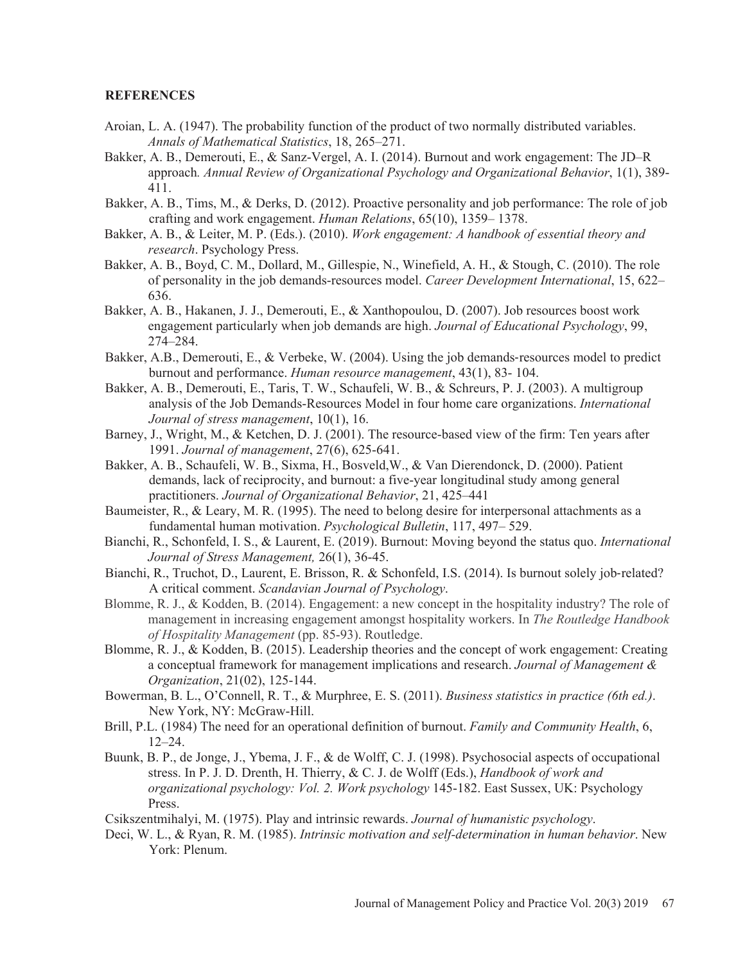#### **REFERENCES**

- Aroian, L. A. (1947). The probability function of the product of two normally distributed variables. *Annals of Mathematical Statistics*, 18, 265–271.
- Bakker, A. B., Demerouti, E., & Sanz-Vergel, A. I. (2014). Burnout and work engagement: The JD–R approach*. Annual Review of Organizational Psychology and Organizational Behavior*, 1(1), 389- 411.
- Bakker, A. B., Tims, M., & Derks, D. (2012). Proactive personality and job performance: The role of job crafting and work engagement. *Human Relations*, 65(10), 1359– 1378.
- Bakker, A. B., & Leiter, M. P. (Eds.). (2010). *Work engagement: A handbook of essential theory and research*. Psychology Press.
- Bakker, A. B., Boyd, C. M., Dollard, M., Gillespie, N., Winefield, A. H., & Stough, C. (2010). The role of personality in the job demands-resources model. *Career Development International*, 15, 622– 636.
- Bakker, A. B., Hakanen, J. J., Demerouti, E., & Xanthopoulou, D. (2007). Job resources boost work engagement particularly when job demands are high. *Journal of Educational Psychology*, 99, 274–284.
- Bakker, A.B., Demerouti, E., & Verbeke, W. (2004). Using the job demands-resources model to predict burnout and performance. *Human resource management*, 43(1), 83- 104.
- Bakker, A. B., Demerouti, E., Taris, T. W., Schaufeli, W. B., & Schreurs, P. J. (2003). A multigroup analysis of the Job Demands-Resources Model in four home care organizations. *International Journal of stress management*, 10(1), 16.
- Barney, J., Wright, M., & Ketchen, D. J. (2001). The resource-based view of the firm: Ten years after 1991. *Journal of management*, 27(6), 625-641.
- Bakker, A. B., Schaufeli, W. B., Sixma, H., Bosveld,W., & Van Dierendonck, D. (2000). Patient demands, lack of reciprocity, and burnout: a five-year longitudinal study among general practitioners. *Journal of Organizational Behavior*, 21, 425–441
- Baumeister, R., & Leary, M. R. (1995). The need to belong desire for interpersonal attachments as a fundamental human motivation. *Psychological Bulletin*, 117, 497– 529.
- Bianchi, R., Schonfeld, I. S., & Laurent, E. (2019). Burnout: Moving beyond the status quo. *International Journal of Stress Management,* 26(1), 36-45.
- Bianchi, R., Truchot, D., Laurent, E. Brisson, R. & Schonfeld, I.S. (2014). Is burnout solely job-related? A critical comment. *Scandavian Journal of Psychology*.
- Blomme, R. J., & Kodden, B. (2014). Engagement: a new concept in the hospitality industry? The role of management in increasing engagement amongst hospitality workers. In *The Routledge Handbook of Hospitality Management* (pp. 85-93). Routledge.
- Blomme, R. J., & Kodden, B. (2015). Leadership theories and the concept of work engagement: Creating a conceptual framework for management implications and research. *Journal of Management & Organization*, 21(02), 125-144.
- Bowerman, B. L., O'Connell, R. T., & Murphree, E. S. (2011). *Business statistics in practice (6th ed.)*. New York, NY: McGraw-Hill.
- Brill, P.L. (1984) The need for an operational definition of burnout. *Family and Community Health*, 6, 12–24.
- Buunk, B. P., de Jonge, J., Ybema, J. F., & de Wolff, C. J. (1998). Psychosocial aspects of occupational stress. In P. J. D. Drenth, H. Thierry, & C. J. de Wolff (Eds.), *Handbook of work and organizational psychology: Vol. 2. Work psychology* 145-182. East Sussex, UK: Psychology Press.

Csikszentmihalyi, M. (1975). Play and intrinsic rewards. *Journal of humanistic psychology*.

Deci, W. L., & Ryan, R. M. (1985). *Intrinsic motivation and self-determination in human behavior*. New York: Plenum.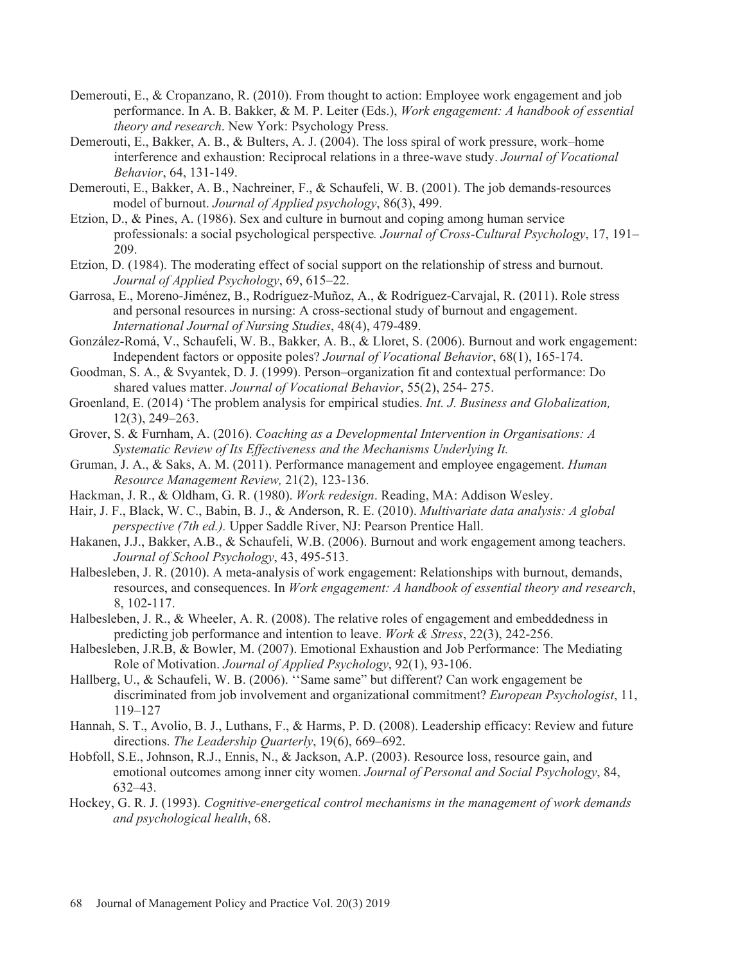- Demerouti, E., & Cropanzano, R. (2010). From thought to action: Employee work engagement and job performance. In A. B. Bakker, & M. P. Leiter (Eds.), *Work engagement: A handbook of essential theory and research*. New York: Psychology Press.
- Demerouti, E., Bakker, A. B., & Bulters, A. J. (2004). The loss spiral of work pressure, work–home interference and exhaustion: Reciprocal relations in a three-wave study. *Journal of Vocational Behavior*, 64, 131-149.
- Demerouti, E., Bakker, A. B., Nachreiner, F., & Schaufeli, W. B. (2001). The job demands-resources model of burnout. *Journal of Applied psychology*, 86(3), 499.
- Etzion, D., & Pines, A. (1986). Sex and culture in burnout and coping among human service professionals: a social psychological perspective*. Journal of Cross-Cultural Psychology*, 17, 191– 209.
- Etzion, D. (1984). The moderating effect of social support on the relationship of stress and burnout. *Journal of Applied Psychology*, 69, 615–22.
- Garrosa, E., Moreno-Jiménez, B., Rodríguez-Muñoz, A., & Rodríguez-Carvajal, R. (2011). Role stress and personal resources in nursing: A cross-sectional study of burnout and engagement. *International Journal of Nursing Studies*, 48(4), 479-489.
- González-Romá, V., Schaufeli, W. B., Bakker, A. B., & Lloret, S. (2006). Burnout and work engagement: Independent factors or opposite poles? *Journal of Vocational Behavior*, 68(1), 165-174.
- Goodman, S. A., & Svyantek, D. J. (1999). Person–organization fit and contextual performance: Do shared values matter. *Journal of Vocational Behavior*, 55(2), 254- 275.
- Groenland, E. (2014) 'The problem analysis for empirical studies. *Int. J. Business and Globalization,*  12(3), 249–263.
- Grover, S. & Furnham, A. (2016). *Coaching as a Developmental Intervention in Organisations: A Systematic Review of Its Effectiveness and the Mechanisms Underlying It.*
- Gruman, J. A., & Saks, A. M. (2011). Performance management and employee engagement. *Human Resource Management Review,* 21(2), 123-136.
- Hackman, J. R., & Oldham, G. R. (1980). *Work redesign*. Reading, MA: Addison Wesley.
- Hair, J. F., Black, W. C., Babin, B. J., & Anderson, R. E. (2010). *Multivariate data analysis: A global perspective (7th ed.).* Upper Saddle River, NJ: Pearson Prentice Hall.
- Hakanen, J.J., Bakker, A.B., & Schaufeli, W.B. (2006). Burnout and work engagement among teachers. *Journal of School Psychology*, 43, 495-513.
- Halbesleben, J. R. (2010). A meta-analysis of work engagement: Relationships with burnout, demands, resources, and consequences. In *Work engagement: A handbook of essential theory and research*, 8, 102-117.
- Halbesleben, J. R., & Wheeler, A. R. (2008). The relative roles of engagement and embeddedness in predicting job performance and intention to leave. *Work & Stress*, 22(3), 242-256.
- Halbesleben, J.R.B, & Bowler, M. (2007). Emotional Exhaustion and Job Performance: The Mediating Role of Motivation. *Journal of Applied Psychology*, 92(1), 93-106.
- Hallberg, U., & Schaufeli, W. B. (2006). ''Same same" but different? Can work engagement be discriminated from job involvement and organizational commitment? *European Psychologist*, 11, 119–127
- Hannah, S. T., Avolio, B. J., Luthans, F., & Harms, P. D. (2008). Leadership efficacy: Review and future directions. *The Leadership Quarterly*, 19(6), 669–692.
- Hobfoll, S.E., Johnson, R.J., Ennis, N., & Jackson, A.P. (2003). Resource loss, resource gain, and emotional outcomes among inner city women. *Journal of Personal and Social Psychology*, 84, 632–43.
- Hockey, G. R. J. (1993). *Cognitive-energetical control mechanisms in the management of work demands and psychological health*, 68.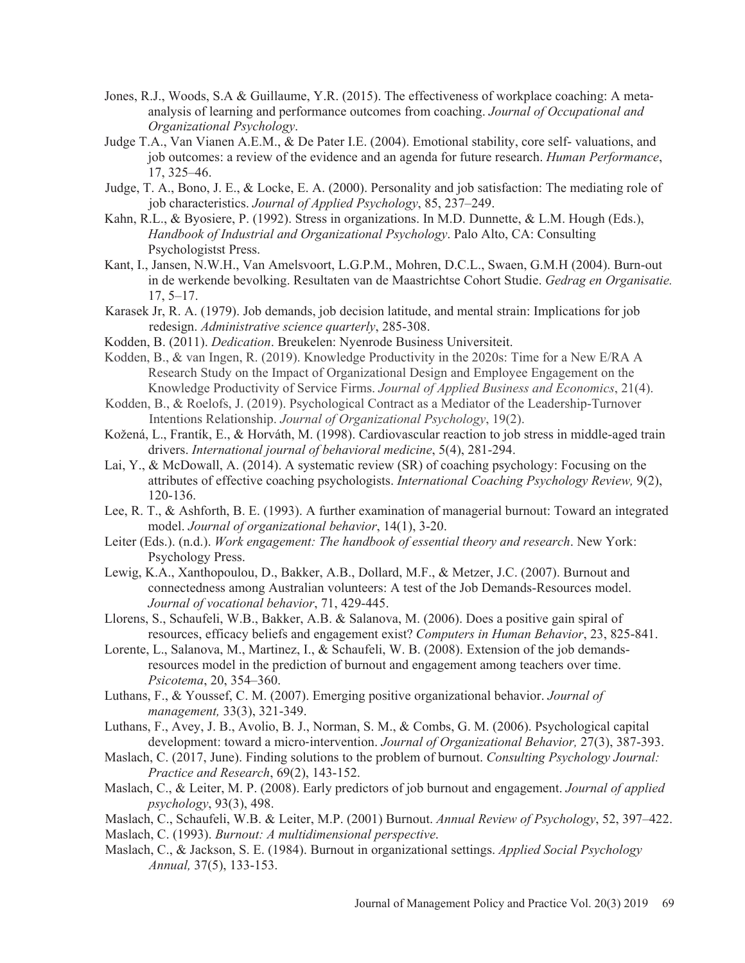- Jones, R.J., Woods, S.A & Guillaume, Y.R. (2015). The effectiveness of workplace coaching: A metaanalysis of learning and performance outcomes from coaching. *Journal of Occupational and Organizational Psychology*.
- Judge T.A., Van Vianen A.E.M., & De Pater I.E. (2004). Emotional stability, core self- valuations, and job outcomes: a review of the evidence and an agenda for future research. *Human Performance*, 17, 325–46.
- Judge, T. A., Bono, J. E., & Locke, E. A. (2000). Personality and job satisfaction: The mediating role of job characteristics. *Journal of Applied Psychology*, 85, 237–249.
- Kahn, R.L., & Byosiere, P. (1992). Stress in organizations. In M.D. Dunnette, & L.M. Hough (Eds.), *Handbook of Industrial and Organizational Psychology*. Palo Alto, CA: Consulting Psychologistst Press.
- Kant, I., Jansen, N.W.H., Van Amelsvoort, L.G.P.M., Mohren, D.C.L., Swaen, G.M.H (2004). Burn-out in de werkende bevolking. Resultaten van de Maastrichtse Cohort Studie. *Gedrag en Organisatie.*  17, 5–17.
- Karasek Jr, R. A. (1979). Job demands, job decision latitude, and mental strain: Implications for job redesign. *Administrative science quarterly*, 285-308.
- Kodden, B. (2011). *Dedication*. Breukelen: Nyenrode Business Universiteit.
- Kodden, B., & van Ingen, R. (2019). Knowledge Productivity in the 2020s: Time for a New E/RA A Research Study on the Impact of Organizational Design and Employee Engagement on the Knowledge Productivity of Service Firms. *Journal of Applied Business and Economics*, 21(4).
- Kodden, B., & Roelofs, J. (2019). Psychological Contract as a Mediator of the Leadership-Turnover Intentions Relationship. *Journal of Organizational Psychology*, 19(2).
- Kožená, L., Frantík, E., & Horváth, M. (1998). Cardiovascular reaction to job stress in middle-aged train drivers. *International journal of behavioral medicine*, 5(4), 281-294.
- Lai, Y., & McDowall, A. (2014). A systematic review (SR) of coaching psychology: Focusing on the attributes of effective coaching psychologists. *International Coaching Psychology Review,* 9(2), 120-136.
- Lee, R. T., & Ashforth, B. E. (1993). A further examination of managerial burnout: Toward an integrated model. *Journal of organizational behavior*, 14(1), 3-20.
- Leiter (Eds.). (n.d.). *Work engagement: The handbook of essential theory and research*. New York: Psychology Press.
- Lewig, K.A., Xanthopoulou, D., Bakker, A.B., Dollard, M.F., & Metzer, J.C. (2007). Burnout and connectedness among Australian volunteers: A test of the Job Demands-Resources model. *Journal of vocational behavior*, 71, 429-445.
- Llorens, S., Schaufeli, W.B., Bakker, A.B. & Salanova, M. (2006). Does a positive gain spiral of resources, efficacy beliefs and engagement exist? *Computers in Human Behavior*, 23, 825-841.
- Lorente, L., Salanova, M., Martinez, I., & Schaufeli, W. B. (2008). Extension of the job demandsresources model in the prediction of burnout and engagement among teachers over time. *Psicotema*, 20, 354–360.
- Luthans, F., & Youssef, C. M. (2007). Emerging positive organizational behavior. *Journal of management,* 33(3), 321-349.
- Luthans, F., Avey, J. B., Avolio, B. J., Norman, S. M., & Combs, G. M. (2006). Psychological capital development: toward a micro-intervention. *Journal of Organizational Behavior*, 27(3), 387-393.
- Maslach, C. (2017, June). Finding solutions to the problem of burnout. *Consulting Psychology Journal: Practice and Research*, 69(2), 143-152.
- Maslach, C., & Leiter, M. P. (2008). Early predictors of job burnout and engagement. *Journal of applied psychology*, 93(3), 498.
- Maslach, C., Schaufeli, W.B. & Leiter, M.P. (2001) Burnout. *Annual Review of Psychology*, 52, 397–422. Maslach, C. (1993). *Burnout: A multidimensional perspective*.
- Maslach, C., & Jackson, S. E. (1984). Burnout in organizational settings. *Applied Social Psychology Annual,* 37(5), 133-153.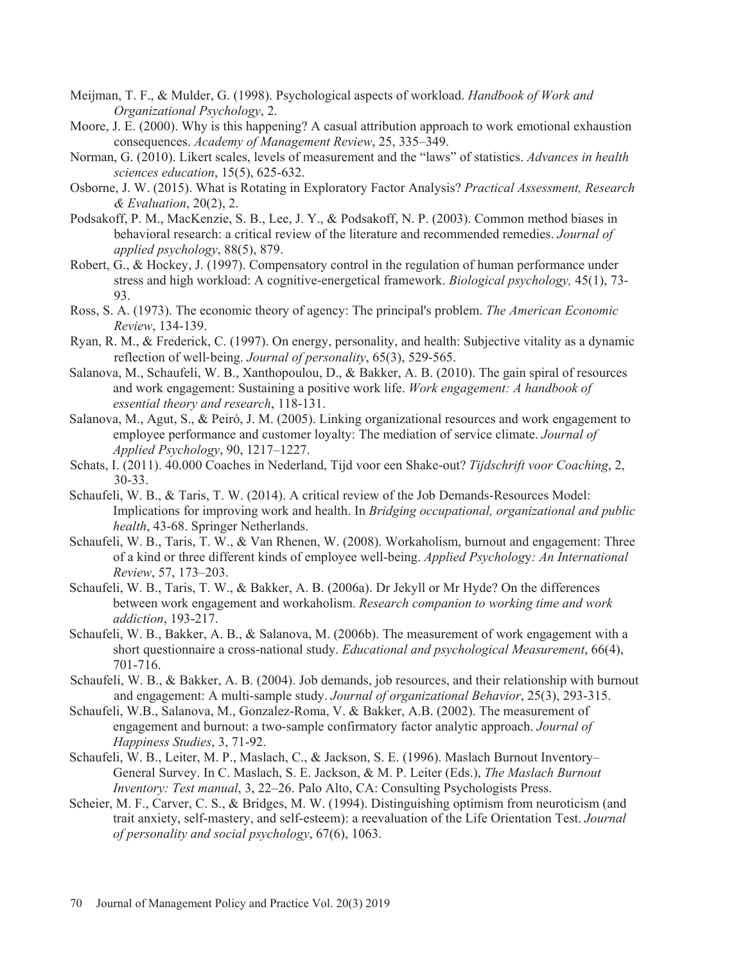- Meijman, T. F., & Mulder, G. (1998). Psychological aspects of workload. *Handbook of Work and Organizational Psychology*, 2.
- Moore, J. E. (2000). Why is this happening? A casual attribution approach to work emotional exhaustion consequences. *Academy of Management Review*, 25, 335–349.
- Norman, G. (2010). Likert scales, levels of measurement and the "laws" of statistics. *Advances in health sciences education*, 15(5), 625-632.
- Osborne, J. W. (2015). What is Rotating in Exploratory Factor Analysis? *Practical Assessment, Research & Evaluation*, 20(2), 2.
- Podsakoff, P. M., MacKenzie, S. B., Lee, J. Y., & Podsakoff, N. P. (2003). Common method biases in behavioral research: a critical review of the literature and recommended remedies. *Journal of applied psychology*, 88(5), 879.
- Robert, G., & Hockey, J. (1997). Compensatory control in the regulation of human performance under stress and high workload: A cognitive-energetical framework. *Biological psychology,* 45(1), 73- 93.
- Ross, S. A. (1973). The economic theory of agency: The principal's problem. *The American Economic Review*, 134-139.
- Ryan, R. M., & Frederick, C. (1997). On energy, personality, and health: Subjective vitality as a dynamic reflection of well-being. *Journal of personality*, 65(3), 529-565.
- Salanova, M., Schaufeli, W. B., Xanthopoulou, D., & Bakker, A. B. (2010). The gain spiral of resources and work engagement: Sustaining a positive work life. *Work engagement: A handbook of essential theory and research*, 118-131.
- Salanova, M., Agut, S., & Peiró, J. M. (2005). Linking organizational resources and work engagement to employee performance and customer loyalty: The mediation of service climate. *Journal of Applied Psychology*, 90, 1217–1227.
- Schats, I. (2011). 40.000 Coaches in Nederland, Tijd voor een Shake-out? *Tijdschrift voor Coaching*, 2, 30-33.
- Schaufeli, W. B., & Taris, T. W. (2014). A critical review of the Job Demands-Resources Model: Implications for improving work and health. In *Bridging occupational, organizational and public health*, 43-68. Springer Netherlands.
- Schaufeli, W. B., Taris, T. W., & Van Rhenen, W. (2008). Workaholism, burnout and engagement: Three of a kind or three different kinds of employee well-being. *Applied Psycholog*y*: An International Review*, 57, 173–203.
- Schaufeli, W. B., Taris, T. W., & Bakker, A. B. (2006a). Dr Jekyll or Mr Hyde? On the differences between work engagement and workaholism. *Research companion to working time and work addiction*, 193-217.
- Schaufeli, W. B., Bakker, A. B., & Salanova, M. (2006b). The measurement of work engagement with a short questionnaire a cross-national study. *Educational and psychological Measurement*, 66(4), 701-716.
- Schaufeli, W. B., & Bakker, A. B. (2004). Job demands, job resources, and their relationship with burnout and engagement: A multi-sample study. *Journal of organizational Behavior*, 25(3), 293-315.
- Schaufeli, W.B., Salanova, M., Gonzalez-Roma, V. & Bakker, A.B. (2002). The measurement of engagement and burnout: a two-sample confirmatory factor analytic approach. *Journal of Happiness Studies*, 3, 71-92.
- Schaufeli, W. B., Leiter, M. P., Maslach, C., & Jackson, S. E. (1996). Maslach Burnout Inventory– General Survey. In C. Maslach, S. E. Jackson, & M. P. Leiter (Eds.), *The Maslach Burnout Inventory: Test manual*, 3, 22–26. Palo Alto, CA: Consulting Psychologists Press.
- Scheier, M. F., Carver, C. S., & Bridges, M. W. (1994). Distinguishing optimism from neuroticism (and trait anxiety, self-mastery, and self-esteem): a reevaluation of the Life Orientation Test. *Journal of personality and social psychology*, 67(6), 1063.